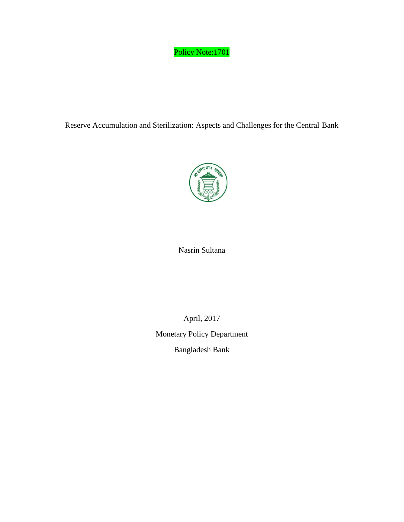# Policy Note:1701

Reserve Accumulation and Sterilization: Aspects and Challenges for the Central Bank



# Nasrin Sultana

April, 2017

Monetary Policy Department

Bangladesh Bank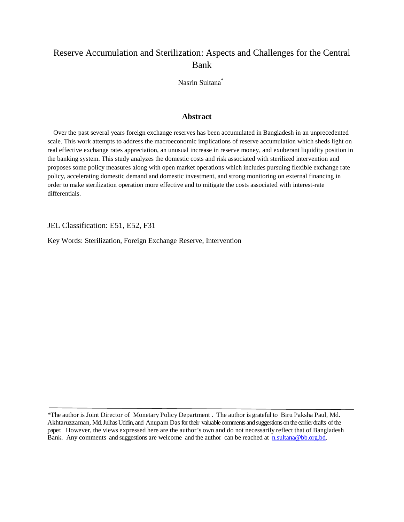# Reserve Accumulation and Sterilization: Aspects and Challenges for the Central Bank

Nasrin Sultana\*

# **Abstract**

 Over the past several years foreign exchange reserves has been accumulated in Bangladesh in an unprecedented scale. This work attempts to address the macroeconomic implications of reserve accumulation which sheds light on real effective exchange rates appreciation, an unusual increase in reserve money, and exuberant liquidity position in the banking system. This study analyzes the domestic costs and risk associated with sterilized intervention and proposes some policy measures along with open market operations which includes pursuing flexible exchange rate policy, accelerating domestic demand and domestic investment, and strong monitoring on external financing in order to make sterilization operation more effective and to mitigate the costs associated with interest-rate differentials.

JEL Classification: E51, E52, F31

Key Words: Sterilization, Foreign Exchange Reserve, Intervention

\*The author is Joint Director of Monetary Policy Department . The author is grateful to Biru Paksha Paul, Md. Akhtaruzzaman, Md. Julhas Uddin, and Anupam Dasfor their valuable comments and suggestions on the earlier drafts of the paper. However, the views expressed here are the author's own and do not necessarily reflect that of Bangladesh Bank. Any comments and suggestions are welcome and the author can be reached at [n.sultana@bb.org.bd.](mailto:n.sultana@bb.org.bd)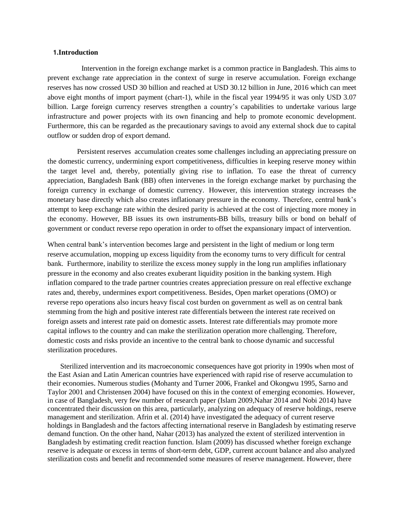#### **1.Introduction**

 Intervention in the foreign exchange market is a common practice in Bangladesh. This aims to prevent exchange rate appreciation in the context of surge in reserve accumulation. Foreign exchange reserves has now crossed USD 30 billion and reached at USD 30.12 billion in June, 2016 which can meet above eight months of import payment (chart-1), while in the fiscal year 1994/95 it was only USD 3.07 billion. Large foreign currency reserves strengthen a country's capabilities to undertake various large infrastructure and power projects with its own financing and help to promote economic development. Furthermore, this can be regarded as the precautionary savings to avoid any external shock due to capital outflow or sudden drop of export demand.

 Persistent reserves accumulation creates some challenges including an appreciating pressure on the domestic currency, undermining export competitiveness, difficulties in keeping reserve money within the target level and, thereby, potentially giving rise to inflation. To ease the threat of currency appreciation, Bangladesh Bank (BB) often intervenes in the foreign exchange market by purchasing the foreign currency in exchange of domestic currency. However, this intervention strategy increases the monetary base directly which also creates inflationary pressure in the economy. Therefore, central bank's attempt to keep exchange rate within the desired parity is achieved at the cost of injecting more money in the economy. However, BB issues its own instruments-BB bills, treasury bills or bond on behalf of government or conduct reverse repo operation in order to offset the expansionary impact of intervention.

When central bank's intervention becomes large and persistent in the light of medium or long term reserve accumulation, mopping up excess liquidity from the economy turns to very difficult for central bank. Furthermore, inability to sterilize the excess money supply in the long run amplifies inflationary pressure in the economy and also creates exuberant liquidity position in the banking system. High inflation compared to the trade partner countries creates appreciation pressure on real effective exchange rates and, thereby, undermines export competitiveness. Besides, Open market operations (OMO) or reverse repo operations also incurs heavy fiscal cost burden on government as well as on central bank stemming from the high and positive interest rate differentials between the interest rate received on foreign assets and interest rate paid on domestic assets. Interest rate differentials may promote more capital inflows to the country and can make the sterilization operation more challenging. Therefore, domestic costs and risks provide an incentive to the central bank to choose dynamic and successful sterilization procedures.

 Sterilized intervention and its macroeconomic consequences have got priority in 1990s when most of the East Asian and Latin American countries have experienced with rapid rise of reserve accumulation to their economies. Numerous studies (Mohanty and Turner 2006, Frankel and Okongwu 1995, Sarno and Taylor 2001 and Christensen 2004) have focused on this in the context of emerging economies. However, in case of Bangladesh, very few number of research paper (Islam 2009,Nahar 2014 and Nobi 2014) have concentrated their discussion on this area, particularly, analyzing on adequacy of reserve holdings, reserve management and sterilization. Afrin et al. (2014) have investigated the adequacy of current reserve holdings in Bangladesh and the factors affecting international reserve in Bangladesh by estimating reserve demand function. On the other hand, Nahar (2013) has analyzed the extent of sterilized intervention in Bangladesh by estimating credit reaction function. Islam (2009) has discussed whether foreign exchange reserve is adequate or excess in terms of short-term debt, GDP, current account balance and also analyzed sterilization costs and benefit and recommended some measures of reserve management. However, there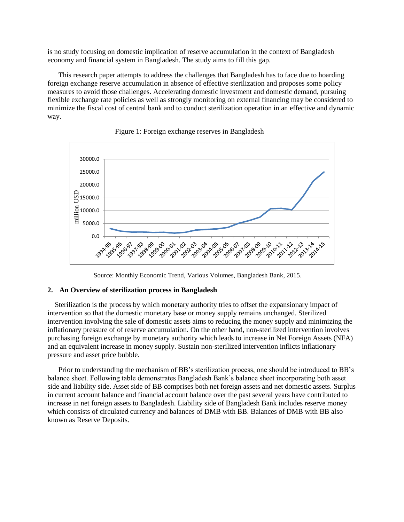is no study focusing on domestic implication of reserve accumulation in the context of Bangladesh economy and financial system in Bangladesh. The study aims to fill this gap.

 This research paper attempts to address the challenges that Bangladesh has to face due to hoarding foreign exchange reserve accumulation in absence of effective sterilization and proposes some policy measures to avoid those challenges. Accelerating domestic investment and domestic demand, pursuing flexible exchange rate policies as well as strongly monitoring on external financing may be considered to minimize the fiscal cost of central bank and to conduct sterilization operation in an effective and dynamic way.





Source: Monthly Economic Trend, Various Volumes, Bangladesh Bank, 2015.

# **2. An Overview of sterilization process in Bangladesh**

 Sterilization is the process by which monetary authority tries to offset the expansionary impact of intervention so that the domestic monetary base or money supply remains unchanged. Sterilized intervention involving the sale of domestic assets aims to reducing the money supply and minimizing the inflationary pressure of of reserve accumulation. On the other hand, non-sterilized intervention involves purchasing foreign exchange by monetary authority which leads to increase in Net Foreign Assets (NFA) and an equivalent increase in money supply. Sustain non-sterilized intervention inflicts inflationary pressure and asset price bubble.

 Prior to understanding the mechanism of BB's sterilization process, one should be introduced to BB's balance sheet. Following table demonstrates Bangladesh Bank's balance sheet incorporating both asset side and liability side. Asset side of BB comprises both net foreign assets and net domestic assets. Surplus in current account balance and financial account balance over the past several years have contributed to increase in net foreign assets to Bangladesh. Liability side of Bangladesh Bank includes reserve money which consists of circulated currency and balances of DMB with BB. Balances of DMB with BB also known as Reserve Deposits.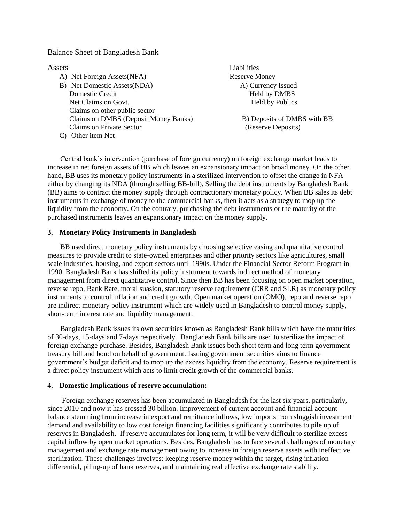### Balance Sheet of Bangladesh Bank

- A) Net Foreign Assets(NFA) Reserve Money B) Net Domestic Assets(NDA) A) Currency Issued Domestic Credit Held by DMBS Net Claims on Govt. Held by Publics Claims on other public sector Claims on DMBS (Deposit Money Banks) B) Deposits of DMBS with BB Claims on Private Sector (Reserve Deposits)
- C) Other item Net

**Assets** Liabilities

 Central bank's intervention (purchase of foreign currency) on foreign exchange market leads to increase in net foreign assets of BB which leaves an expansionary impact on broad money. On the other hand, BB uses its monetary policy instruments in a sterilized intervention to offset the change in NFA either by changing its NDA (through selling BB-bill). Selling the debt instruments by Bangladesh Bank (BB) aims to contract the money supply through contractionary monetary policy. When BB sales its debt instruments in exchange of money to the commercial banks, then it acts as a strategy to mop up the liquidity from the economy. On the contrary, purchasing the debt instruments or the maturity of the purchased instruments leaves an expansionary impact on the money supply.

# **3. Monetary Policy Instruments in Bangladesh**

 BB used direct monetary policy instruments by choosing selective easing and quantitative control measures to provide credit to state-owned enterprises and other priority sectors like agricultures, small scale industries, housing, and export sectors until 1990s. Under the Financial Sector Reform Program in 1990, Bangladesh Bank has shifted its policy instrument towards indirect method of monetary management from direct quantitative control. Since then BB has been focusing on open market operation, reverse repo, Bank Rate, moral suasion, statutory reserve requirement (CRR and SLR) as monetary policy instruments to control inflation and credit growth. Open market operation (OMO), repo and reverse repo are indirect monetary policy instrument which are widely used in Bangladesh to control money supply, short-term interest rate and liquidity management.

 Bangladesh Bank issues its own securities known as Bangladesh Bank bills which have the maturities of 30-days, 15-days and 7-days respectively. Bangladesh Bank bills are used to sterilize the impact of foreign exchange purchase. Besides, Bangladesh Bank issues both short term and long term government treasury bill and bond on behalf of government. Issuing government securities aims to finance government's budget deficit and to mop up the excess liquidity from the economy. Reserve requirement is a direct policy instrument which acts to limit credit growth of the commercial banks.

# **4. Domestic Implications of reserve accumulation:**

 Foreign exchange reserves has been accumulated in Bangladesh for the last six years, particularly, since 2010 and now it has crossed 30 billion. Improvement of current account and financial account balance stemming from increase in export and remittance inflows, low imports from sluggish investment demand and availability to low cost foreign financing facilities significantly contributes to pile up of reserves in Bangladesh. If reserve accumulates for long term, it will be very difficult to sterilize excess capital inflow by open market operations. Besides, Bangladesh has to face several challenges of monetary management and exchange rate management owing to increase in foreign reserve assets with ineffective sterilization. These challenges involves: keeping reserve money within the target, rising inflation differential, piling-up of bank reserves, and maintaining real effective exchange rate stability.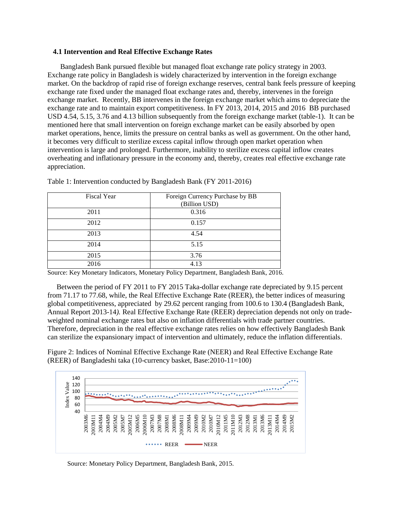#### **4.1 Intervention and Real Effective Exchange Rates**

 Bangladesh Bank pursued flexible but managed float exchange rate policy strategy in 2003. Exchange rate policy in Bangladesh is widely characterized by intervention in the foreign exchange market. On the backdrop of rapid rise of foreign exchange reserves, central bank feels pressure of keeping exchange rate fixed under the managed float exchange rates and, thereby, intervenes in the foreign exchange market. Recently, BB intervenes in the foreign exchange market which aims to depreciate the exchange rate and to maintain export competitiveness. In FY 2013, 2014, 2015 and 2016 BB purchased USD 4.54, 5.15, 3.76 and 4.13 billion subsequently from the foreign exchange market (table-1). It can be mentioned here that small intervention on foreign exchange market can be easily absorbed by open market operations, hence, limits the pressure on central banks as well as government. On the other hand, it becomes very difficult to sterilize excess capital inflow through open market operation when intervention is large and prolonged. Furthermore, inability to sterilize excess capital inflow creates overheating and inflationary pressure in the economy and, thereby, creates real effective exchange rate appreciation.

| <b>Fiscal Year</b> | Foreign Currency Purchase by BB<br>(Billion USD) |
|--------------------|--------------------------------------------------|
| 2011               | 0.316                                            |
| 2012               | 0.157                                            |
| 2013               | 4.54                                             |
| 2014               | 5.15                                             |
| 2015               | 3.76                                             |
| 2016               | 4.13                                             |

Table 1: Intervention conducted by Bangladesh Bank (FY 2011-2016)

Source: Key Monetary Indicators, Monetary Policy Department, Bangladesh Bank, 2016.

Between the period of FY 2011 to FY 2015 Taka-dollar exchange rate depreciated by 9.15 percent from 71.17 to 77.68, while, the Real Effective Exchange Rate (REER), the better indices of measuring global competitiveness, appreciated by 29.62 percent ranging from 100.6 to 130.4 (Bangladesh Bank, Annual Report 2013-14*).* Real Effective Exchange Rate (REER) depreciation depends not only on tradeweighted nominal exchange rates but also on inflation differentials with trade partner countries. Therefore, depreciation in the real effective exchange rates relies on how effectively Bangladesh Bank can sterilize the expansionary impact of intervention and ultimately, reduce the inflation differentials.

Figure 2: Indices of Nominal Effective Exchange Rate (NEER) and Real Effective Exchange Rate (REER) of Bangladeshi taka (10-currency basket, Base:2010-11=100)



Source: Monetary Policy Department, Bangladesh Bank, 2015.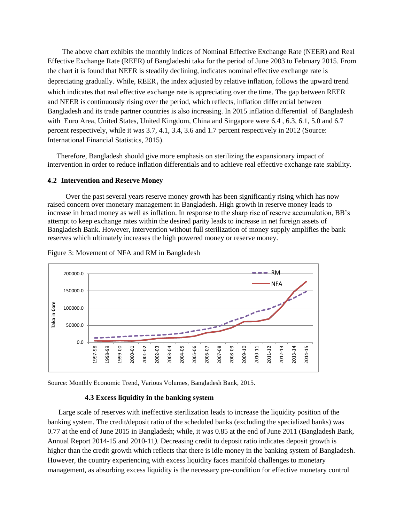The above chart exhibits the monthly indices of Nominal Effective Exchange Rate (NEER) and Real Effective Exchange Rate (REER) of Bangladeshi taka for the period of June 2003 to February 2015. From the chart it is found that NEER is steadily declining, indicates nominal effective exchange rate is depreciating gradually. While, REER, the index adjusted by relative inflation, follows the upward trend which indicates that real effective exchange rate is appreciating over the time. The gap between REER and NEER is continuously rising over the period, which reflects, inflation differential between Bangladesh and its trade partner countries is also increasing. In 2015 inflation differential of Bangladesh with Euro Area, United States, United Kingdom, China and Singapore were 6.4 , 6.3, 6.1, 5.0 and 6.7 percent respectively, while it was 3.7, 4.1, 3.4, 3.6 and 1.7 percent respectively in 2012 (Source: International Financial Statistics, 2015).

Therefore, Bangladesh should give more emphasis on sterilizing the expansionary impact of intervention in order to reduce inflation differentials and to achieve real effective exchange rate stability.

#### **4.2 Intervention and Reserve Money**

Over the past several years reserve money growth has been significantly rising which has now raised concern over monetary management in Bangladesh. High growth in reserve money leads to increase in broad money as well as inflation. In response to the sharp rise of reserve accumulation, BB's attempt to keep exchange rates within the desired parity leads to increase in net foreign assets of Bangladesh Bank. However, intervention without full sterilization of money supply amplifies the bank reserves which ultimately increases the high powered money or reserve money.



Figure 3: Movement of NFA and RM in Bangladesh

Source: Monthly Economic Trend, Various Volumes, Bangladesh Bank, 2015.

#### **4.3 Excess liquidity in the banking system**

 Large scale of reserves with ineffective sterilization leads to increase the liquidity position of the banking system. The credit/deposit ratio of the scheduled banks (excluding the specialized banks) was 0.77 at the end of June 2015 in Bangladesh; while, it was 0.85 at the end of June 2011 (Bangladesh Bank, Annual Report 2014-15 and 2010-11*).* Decreasing credit to deposit ratio indicates deposit growth is higher than the credit growth which reflects that there is idle money in the banking system of Bangladesh. However, the country experiencing with excess liquidity faces manifold challenges to monetary management, as absorbing excess liquidity is the necessary pre-condition for effective monetary control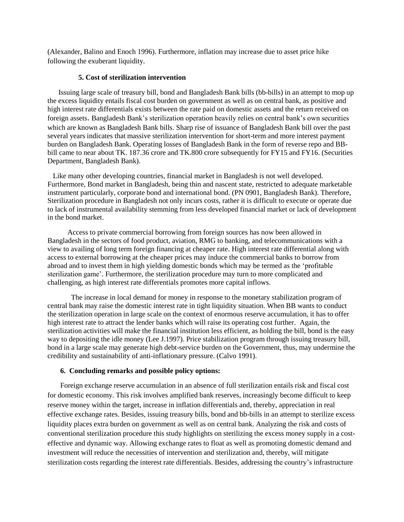(Alexander, Balino and Enoch 1996). Furthermore, inflation may increase due to asset price hike following the exuberant liquidity.

# **5. Cost of sterilization intervention**

Issuing large scale of treasury bill, bond and Bangladesh Bank bills (bb-bills) in an attempt to mop up the excess liquidity entails fiscal cost burden on government as well as on central bank, as positive and high interest rate differentials exists between the rate paid on domestic assets and the return received on foreign assets. Bangladesh Bank's sterilization operation heavily relies on central bank's own securities which are known as Bangladesh Bank bills. Sharp rise of issuance of Bangladesh Bank bill over the past several years indicates that massive sterilization intervention for short-term and more interest payment burden on Bangladesh Bank. Operating losses of Bangladesh Bank in the form of reverse repo and BBbill came to near about TK. 187.36 crore and TK.800 crore subsequently for FY15 and FY16. (Securities Department, Bangladesh Bank).

 Like many other developing countries, financial market in Bangladesh is not well developed. Furthermore, Bond market in Bangladesh, being thin and nascent state, restricted to adequate marketable instrument particularly, corporate bond and international bond. (PN 0901, Bangladesh Bank). Therefore, Sterilization procedure in Bangladesh not only incurs costs, rather it is difficult to execute or operate due to lack of instrumental availability stemming from less developed financial market or lack of development in the bond market.

 Access to private commercial borrowing from foreign sources has now been allowed in Bangladesh in the sectors of food product, aviation, RMG to banking, and telecommunications with a view to availing of long term foreign financing at cheaper rate. High interest rate differential along with access to external borrowing at the cheaper prices may induce the commercial banks to borrow from abroad and to invest them in high yielding domestic bonds which may be termed as the 'profitable sterilization game'. Furthermore, the sterilization procedure may turn to more complicated and challenging, as high interest rate differentials promotes more capital inflows.

 The increase in local demand for money in response to the monetary stabilization program of central bank may raise the domestic interest rate in tight liquidity situation. When BB wants to conduct the sterilization operation in large scale on the context of enormous reserve accumulation, it has to offer high interest rate to attract the lender banks which will raise its operating cost further. Again, the sterilization activities will make the financial institution less efficient, as holding the bill, bond is the easy way to depositing the idle money (Lee J.1997). Price stabilization program through issuing treasury bill, bond in a large scale may generate high debt-service burden on the Government, thus, may undermine the credibility and sustainability of anti-inflationary pressure. (Calvo 1991).

# **6. Concluding remarks and possible policy options:**

 Foreign exchange reserve accumulation in an absence of full sterilization entails risk and fiscal cost for domestic economy. This risk involves amplified bank reserves, increasingly become difficult to keep reserve money within the target, increase in inflation differentials and, thereby, appreciation in real effective exchange rates. Besides, issuing treasury bills, bond and bb-bills in an attempt to sterilize excess liquidity places extra burden on government as well as on central bank. Analyzing the risk and costs of conventional sterilization procedure this study highlights on sterilizing the excess money supply in a costeffective and dynamic way. Allowing exchange rates to float as well as promoting domestic demand and investment will reduce the necessities of intervention and sterilization and, thereby, will mitigate sterilization costs regarding the interest rate differentials. Besides, addressing the country's infrastructure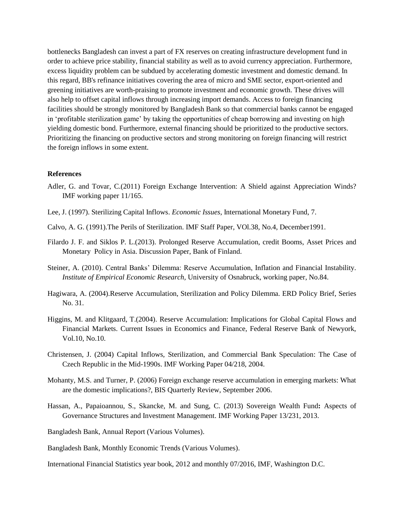bottlenecks Bangladesh can invest a part of FX reserves on creating infrastructure development fund in order to achieve price stability, financial stability as well as to avoid currency appreciation. Furthermore, excess liquidity problem can be subdued by accelerating domestic investment and domestic demand. In this regard, BB's refinance initiatives covering the area of micro and SME sector, export-oriented and greening initiatives are worth-praising to promote investment and economic growth. These drives will also help to offset capital inflows through increasing import demands. Access to foreign financing facilities should be strongly monitored by Bangladesh Bank so that commercial banks cannot be engaged in 'profitable sterilization game' by taking the opportunities of cheap borrowing and investing on high yielding domestic bond. Furthermore, external financing should be prioritized to the productive sectors. Prioritizing the financing on productive sectors and strong monitoring on foreign financing will restrict the foreign inflows in some extent.

### **References**

- Adler, G. and Tovar, C.(2011) Foreign Exchange Intervention: A Shield against Appreciation Winds? IMF working paper 11/165.
- Lee, J. (1997). Sterilizing Capital Inflows. *Economic Issues*, International Monetary Fund, 7.
- Calvo, A. G. (1991).The Perils of Sterilization. IMF Staff Paper, VOl.38, No.4, December1991.
- Filardo J. F. and Siklos P. L.(2013). Prolonged Reserve Accumulation, credit Booms, Asset Prices and Monetary Policy in Asia. Discussion Paper, Bank of Finland.
- Steiner, A. (2010). Central Banks' Dilemma: Reserve Accumulation, Inflation and Financial Instability. *Institute of Empirical Economic Research,* University of Osnabruck, working paper, No.84.
- Hagiwara, A. (2004).Reserve Accumulation, Sterilization and Policy Dilemma. ERD Policy Brief, Series No. 31.
- Higgins, M. and Klitgaard, T.(2004). Reserve Accumulation: Implications for Global Capital Flows and Financial Markets. Current Issues in Economics and Finance, Federal Reserve Bank of Newyork, Vol.10, No.10.
- Christensen, J. (2004) Capital Inflows, Sterilization, and Commercial Bank Speculation: The Case of Czech Republic in the Mid-1990s. IMF Working Paper 04/218, 2004.
- Mohanty, M.S. and Turner, P. (2006) Foreign exchange reserve accumulation in emerging markets: What are the domestic implications?, BIS Quarterly Review, September 2006.
- Hassan, A., Papaioannou, S., Skancke, M. and Sung, C. (2013) Sovereign Wealth Fund**:** Aspects of Governance Structures and Investment Management. IMF Working Paper 13/231, 2013.
- Bangladesh Bank, Annual Report (Various Volumes).
- Bangladesh Bank, Monthly Economic Trends (Various Volumes).
- International Financial Statistics year book, 2012 and monthly 07/2016, IMF, Washington D.C.